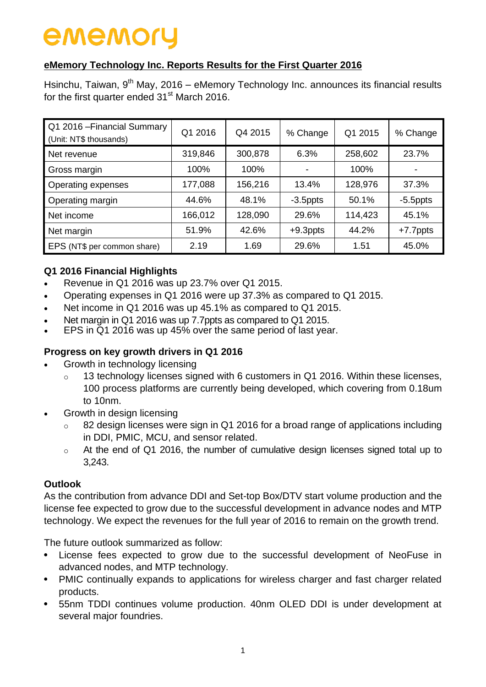### **eMemory Technology Inc. Reports Results for the First Quarter 2016**

Hsinchu, Taiwan, 9<sup>th</sup> May, 2016 – eMemory Technology Inc. announces its financial results for the first quarter ended  $31<sup>st</sup>$  March 2016.

| Q1 2016 - Financial Summary<br>(Unit: NT\$ thousands) | Q1 2016 | Q4 2015 | % Change    | Q1 2015 | % Change    |
|-------------------------------------------------------|---------|---------|-------------|---------|-------------|
| Net revenue                                           | 319,846 | 300,878 | 6.3%        | 258,602 | 23.7%       |
| Gross margin                                          | 100%    | 100%    |             | 100%    |             |
| Operating expenses                                    | 177,088 | 156,216 | 13.4%       | 128,976 | 37.3%       |
| Operating margin                                      | 44.6%   | 48.1%   | $-3.5$ ppts | 50.1%   | $-5.5$ ppts |
| Net income                                            | 166,012 | 128,090 | 29.6%       | 114,423 | 45.1%       |
| Net margin                                            | 51.9%   | 42.6%   | $+9.3$ ppts | 44.2%   | $+7.7$ ppts |
| EPS (NT\$ per common share)                           | 2.19    | 1.69    | 29.6%       | 1.51    | 45.0%       |

### **Q1 2016 Financial Highlights**

- Revenue in Q1 2016 was up 23.7% over Q1 2015.
- Operating expenses in Q1 2016 were up 37.3% as compared to Q1 2015.
- Net income in Q1 2016 was up 45.1% as compared to Q1 2015.
- Net margin in Q1 2016 was up 7.7ppts as compared to Q1 2015.
- EPS in Q1 2016 was up 45% over the same period of last year.

### **Progress on key growth drivers in Q1 2016**

- Growth in technology licensing
	- $\circ$  13 technology licenses signed with 6 customers in Q1 2016. Within these licenses, 100 process platforms are currently being developed, which covering from 0.18um to 10nm.
- Growth in design licensing
	- 82 design licenses were sign in Q1 2016 for a broad range of applications including in DDI, PMIC, MCU, and sensor related.
	- o At the end of Q1 2016, the number of cumulative design licenses signed total up to 3,243.

### **Outlook**

As the contribution from advance DDI and Set-top Box/DTV start volume production and the license fee expected to grow due to the successful development in advance nodes and MTP technology. We expect the revenues for the full year of 2016 to remain on the growth trend.

The future outlook summarized as follow:

- License fees expected to grow due to the successful development of NeoFuse in advanced nodes, and MTP technology.
- PMIC continually expands to applications for wireless charger and fast charger related products.
- 55nm TDDI continues volume production. 40nm OLED DDI is under development at several major foundries.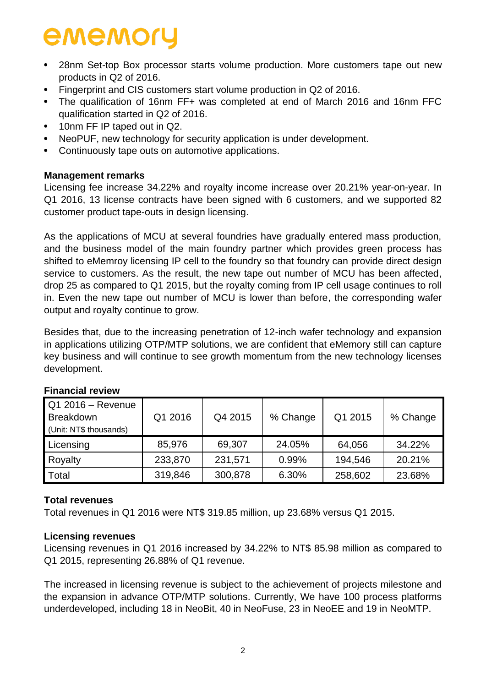- 28nm Set-top Box processor starts volume production. More customers tape out new products in Q2 of 2016.
- Fingerprint and CIS customers start volume production in Q2 of 2016.
- The qualification of 16nm FF+ was completed at end of March 2016 and 16nm FFC qualification started in Q2 of 2016.
- 10nm FF IP taped out in Q2.
- NeoPUF, new technology for security application is under development.
- Continuously tape outs on automotive applications.

### **Management remarks**

Licensing fee increase 34.22% and royalty income increase over 20.21% year-on-year. In Q1 2016, 13 license contracts have been signed with 6 customers, and we supported 82 customer product tape-outs in design licensing.

As the applications of MCU at several foundries have gradually entered mass production, and the business model of the main foundry partner which provides green process has shifted to eMemroy licensing IP cell to the foundry so that foundry can provide direct design service to customers. As the result, the new tape out number of MCU has been affected, drop 25 as compared to Q1 2015, but the royalty coming from IP cell usage continues to roll in. Even the new tape out number of MCU is lower than before, the corresponding wafer output and royalty continue to grow.

Besides that, due to the increasing penetration of 12-inch wafer technology and expansion in applications utilizing OTP/MTP solutions, we are confident that eMemory still can capture key business and will continue to see growth momentum from the new technology licenses development.

| Q1 2016 - Revenue<br><b>Breakdown</b><br>(Unit: NT\$ thousands) | Q1 2016 | Q4 2015 | % Change | Q1 2015 | % Change |
|-----------------------------------------------------------------|---------|---------|----------|---------|----------|
| Licensing                                                       | 85,976  | 69,307  | 24.05%   | 64,056  | 34.22%   |
| Royalty                                                         | 233,870 | 231,571 | 0.99%    | 194,546 | 20.21%   |
| Total                                                           | 319,846 | 300,878 | 6.30%    | 258,602 | 23.68%   |

### **Financial review**

### **Total revenues**

Total revenues in Q1 2016 were NT\$ 319.85 million, up 23.68% versus Q1 2015.

### **Licensing revenues**

Licensing revenues in Q1 2016 increased by 34.22% to NT\$ 85.98 million as compared to Q1 2015, representing 26.88% of Q1 revenue.

The increased in licensing revenue is subject to the achievement of projects milestone and the expansion in advance OTP/MTP solutions. Currently, We have 100 process platforms underdeveloped, including 18 in NeoBit, 40 in NeoFuse, 23 in NeoEE and 19 in NeoMTP.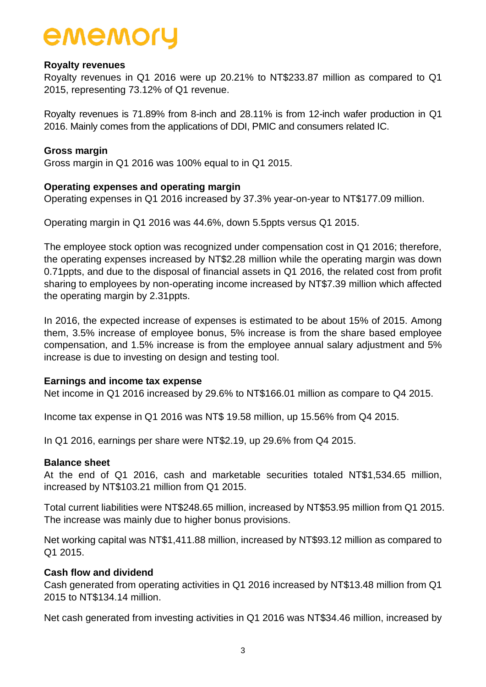### **Royalty revenues**

Royalty revenues in Q1 2016 were up 20.21% to NT\$233.87 million as compared to Q1 2015, representing 73.12% of Q1 revenue.

Royalty revenues is 71.89% from 8-inch and 28.11% is from 12-inch wafer production in Q1 2016. Mainly comes from the applications of DDI, PMIC and consumers related IC.

### **Gross margin**

Gross margin in Q1 2016 was 100% equal to in Q1 2015.

### **Operating expenses and operating margin**

Operating expenses in Q1 2016 increased by 37.3% year-on-year to NT\$177.09 million.

Operating margin in Q1 2016 was 44.6%, down 5.5ppts versus Q1 2015.

The employee stock option was recognized under compensation cost in Q1 2016; therefore, the operating expenses increased by NT\$2.28 million while the operating margin was down 0.71ppts, and due to the disposal of financial assets in Q1 2016, the related cost from profit sharing to employees by non-operating income increased by NT\$7.39 million which affected the operating margin by 2.31ppts.

In 2016, the expected increase of expenses is estimated to be about 15% of 2015. Among them, 3.5% increase of employee bonus, 5% increase is from the share based employee compensation, and 1.5% increase is from the employee annual salary adjustment and 5% increase is due to investing on design and testing tool.

### **Earnings and income tax expense**

Net income in Q1 2016 increased by 29.6% to NT\$166.01 million as compare to Q4 2015.

Income tax expense in Q1 2016 was NT\$ 19.58 million, up 15.56% from Q4 2015.

In Q1 2016, earnings per share were NT\$2.19, up 29.6% from Q4 2015.

### **Balance sheet**

At the end of Q1 2016, cash and marketable securities totaled NT\$1,534.65 million, increased by NT\$103.21 million from Q1 2015.

Total current liabilities were NT\$248.65 million, increased by NT\$53.95 million from Q1 2015. The increase was mainly due to higher bonus provisions.

Net working capital was NT\$1,411.88 million, increased by NT\$93.12 million as compared to Q1 2015.

### **Cash flow and dividend**

Cash generated from operating activities in Q1 2016 increased by NT\$13.48 million from Q1 2015 to NT\$134.14 million.

Net cash generated from investing activities in Q1 2016 was NT\$34.46 million, increased by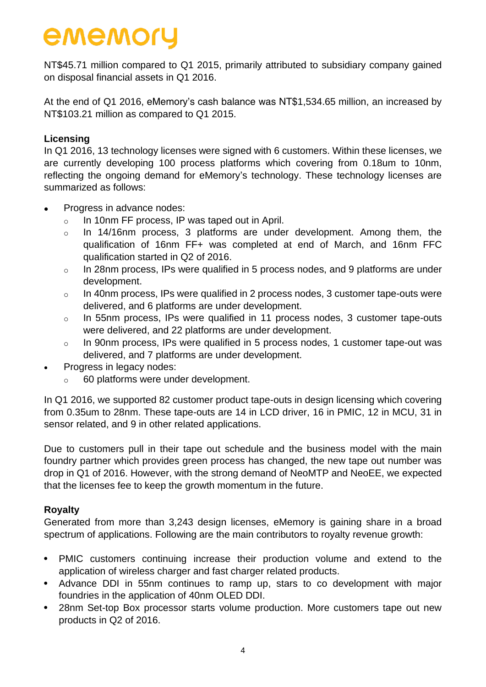NT\$45.71 million compared to Q1 2015, primarily attributed to subsidiary company gained on disposal financial assets in Q1 2016.

At the end of Q1 2016, eMemory's cash balance was NT\$1,534.65 million, an increased by NT\$103.21 million as compared to Q1 2015.

### **Licensing**

In Q1 2016, 13 technology licenses were signed with 6 customers. Within these licenses, we are currently developing 100 process platforms which covering from 0.18um to 10nm, reflecting the ongoing demand for eMemory's technology. These technology licenses are summarized as follows:

- Progress in advance nodes:
	- o In 10nm FF process, IP was taped out in April.
	- o In 14/16nm process, 3 platforms are under development. Among them, the qualification of 16nm FF+ was completed at end of March, and 16nm FFC qualification started in Q2 of 2016.
	- o In 28nm process, IPs were qualified in 5 process nodes, and 9 platforms are under development.
	- o In 40nm process, IPs were qualified in 2 process nodes, 3 customer tape-outs were delivered, and 6 platforms are under development.
	- o In 55nm process, IPs were qualified in 11 process nodes, 3 customer tape-outs were delivered, and 22 platforms are under development.
	- o In 90nm process, IPs were qualified in 5 process nodes, 1 customer tape-out was delivered, and 7 platforms are under development.
- Progress in legacy nodes:
	- 60 platforms were under development.

In Q1 2016, we supported 82 customer product tape-outs in design licensing which covering from 0.35um to 28nm. These tape-outs are 14 in LCD driver, 16 in PMIC, 12 in MCU, 31 in sensor related, and 9 in other related applications.

Due to customers pull in their tape out schedule and the business model with the main foundry partner which provides green process has changed, the new tape out number was drop in Q1 of 2016. However, with the strong demand of NeoMTP and NeoEE, we expected that the licenses fee to keep the growth momentum in the future.

### **Royalty**

Generated from more than 3,243 design licenses, eMemory is gaining share in a broad spectrum of applications. Following are the main contributors to royalty revenue growth:

- PMIC customers continuing increase their production volume and extend to the application of wireless charger and fast charger related products.
- Advance DDI in 55nm continues to ramp up, stars to co development with major foundries in the application of 40nm OLED DDI.
- 28nm Set-top Box processor starts volume production. More customers tape out new products in Q2 of 2016.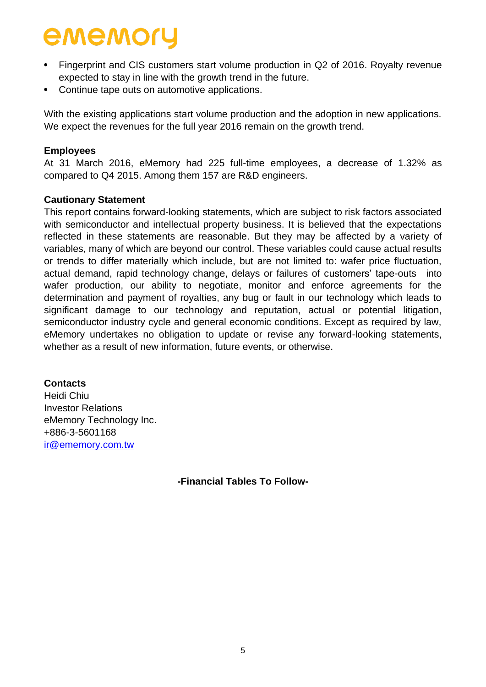- Fingerprint and CIS customers start volume production in Q2 of 2016. Royalty revenue expected to stay in line with the growth trend in the future.
- Continue tape outs on automotive applications.

With the existing applications start volume production and the adoption in new applications. We expect the revenues for the full year 2016 remain on the growth trend.

### **Employees**

At 31 March 2016, eMemory had 225 full-time employees, a decrease of 1.32% as compared to Q4 2015. Among them 157 are R&D engineers.

### **Cautionary Statement**

This report contains forward-looking statements, which are subject to risk factors associated with semiconductor and intellectual property business. It is believed that the expectations reflected in these statements are reasonable. But they may be affected by a variety of variables, many of which are beyond our control. These variables could cause actual results or trends to differ materially which include, but are not limited to: wafer price fluctuation, actual demand, rapid technology change, delays or failures of customers' tape-outs into wafer production, our ability to negotiate, monitor and enforce agreements for the determination and payment of royalties, any bug or fault in our technology which leads to significant damage to our technology and reputation, actual or potential litigation, semiconductor industry cycle and general economic conditions. Except as required by law, eMemory undertakes no obligation to update or revise any forward-looking statements, whether as a result of new information, future events, or otherwise.

### **Contacts**

Heidi Chiu Investor Relations eMemory Technology Inc. +886-3-5601168 [ir@ememory.com.tw](mailto:ir@ememory.com.tw)

**-Financial Tables To Follow-**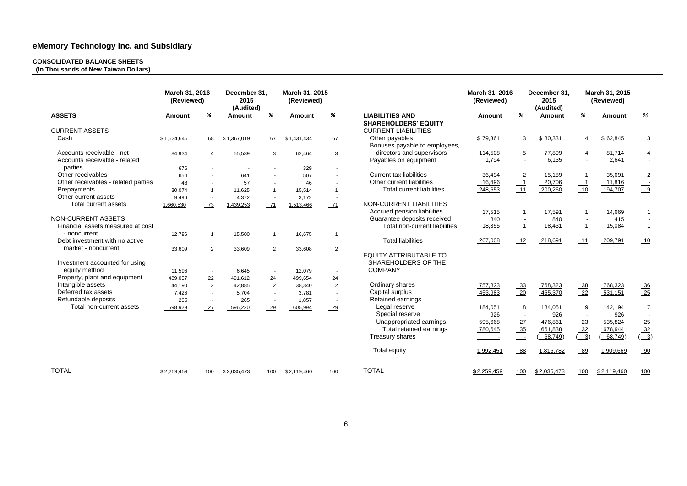#### **CONSOLIDATED BALANCE SHEETS**

**(In Thousands of New Taiwan Dollars)** 

|                                                            | March 31, 2016<br>(Reviewed) |                | December 31,<br>2015<br>(Audited) |                | March 31, 2015<br>(Reviewed) |                          |                                                       | March 31, 2016<br>(Reviewed) |                                             | December 31.<br>2015<br>(Audited) |                          | March 31, 2015<br>(Reviewed) |                               |
|------------------------------------------------------------|------------------------------|----------------|-----------------------------------|----------------|------------------------------|--------------------------|-------------------------------------------------------|------------------------------|---------------------------------------------|-----------------------------------|--------------------------|------------------------------|-------------------------------|
| <b>ASSETS</b>                                              | <b>Amount</b>                | %              | <b>Amount</b>                     | %              | <b>Amount</b>                | %                        | <b>LIABILITIES AND</b><br><b>SHAREHOLDERS' EQUITY</b> | <b>Amount</b>                | %                                           | <b>Amount</b>                     | %                        | <b>Amount</b>                | %                             |
| <b>CURRENT ASSETS</b>                                      |                              |                |                                   |                |                              |                          | <b>CURRENT LIABILITIES</b>                            |                              |                                             |                                   |                          |                              |                               |
| Cash                                                       | \$1,534,646                  | 68             | \$1,367,019                       | 67             | \$1,431,434                  | 67                       | Other payables<br>Bonuses payable to employees,       | \$79,361                     | 3                                           | \$80,331                          | 4                        | \$62,845                     | 3                             |
| Accounts receivable - net<br>Accounts receivable - related | 84,934                       | $\overline{4}$ | 55,539                            | 3              | 62,464                       | 3                        | directors and supervisors<br>Payables on equipment    | 114,508<br>1,794             | $5\phantom{.0}$<br>$\overline{\phantom{a}}$ | 77,899<br>6,135                   | 4<br>$\blacksquare$      | 81,714<br>2,641              | 4<br>$\overline{\phantom{a}}$ |
| parties                                                    | 676                          | $\blacksquare$ |                                   |                | 329                          | $\blacksquare$           |                                                       |                              |                                             |                                   |                          |                              |                               |
| Other receivables                                          | 656                          | $\sim$         | 641                               |                | 507                          | $\overline{a}$           | <b>Current tax liabilities</b>                        | 36,494                       | 2                                           | 15,189                            | $\overline{\mathbf{1}}$  | 35,691                       | $\overline{2}$                |
| Other receivables - related parties                        | 48                           | $\sim$         | 57                                | $\sim$         | 46                           | $\sim$                   | Other current liabilities                             | 16,496                       | $\overline{\phantom{0}}$                    | 20,706                            | $\overline{\phantom{0}}$ | 11,816                       |                               |
| Prepayments                                                | 30,074                       | $\overline{1}$ | 11,625                            |                | 15,514                       | $\overline{1}$           | <b>Total current liabilities</b>                      | 248,653                      | 11                                          | 200,260                           | 10                       | 194,707                      | $\frac{1}{9}$                 |
| Other current assets                                       | 9,496                        | $\frac{1}{2}$  | 4,372                             | $\frac{1}{2}$  | 3,172                        | $\equiv$                 |                                                       |                              |                                             |                                   |                          |                              |                               |
| Total current assets                                       | 1,660,530                    | $\frac{73}{2}$ | 1,439,253                         | $\frac{71}{2}$ | 1,513,466                    | 71                       | NON-CURRENT LIABILITIES                               |                              |                                             |                                   |                          |                              |                               |
|                                                            |                              |                |                                   |                |                              |                          | Accrued pension liabilities                           | 17,515                       | $\overline{1}$                              | 17,591                            | $\overline{\mathbf{1}}$  | 14,669                       | $\overline{1}$                |
| NON-CURRENT ASSETS                                         |                              |                |                                   |                |                              |                          | Guarantee deposits received                           | 840                          |                                             | 840                               |                          | 415                          |                               |
| Financial assets measured at cost                          |                              |                |                                   |                |                              |                          | Total non-current liabilities                         | 18,355                       | $\frac{-1}{1}$                              | 18,431                            | $\frac{1}{\sqrt{1}}$     | 15,084                       | $\frac{-1}{1}$                |
| - noncurrent                                               | 12,786                       | $\mathbf{1}$   | 15,500                            | $\mathbf{1}$   | 16,675                       | $\mathbf 1$              |                                                       |                              |                                             |                                   |                          |                              |                               |
| Debt investment with no active                             |                              |                |                                   |                |                              |                          | <b>Total liabilities</b>                              | 267,008                      | 12                                          | 218,691                           | 11                       | 209,791                      | 10                            |
| market - noncurrent                                        | 33,609                       | $\overline{2}$ | 33,609                            | $\overline{2}$ | 33,608                       | $\overline{2}$           | <b>EQUITY ATTRIBUTABLE TO</b>                         |                              |                                             |                                   |                          |                              |                               |
| Investment accounted for using                             |                              |                |                                   |                |                              |                          | SHAREHOLDERS OF THE                                   |                              |                                             |                                   |                          |                              |                               |
| equity method                                              | 11,596                       | $\sim$         | 6,645                             | $\sim$         | 12,079                       | $\overline{\phantom{a}}$ | <b>COMPANY</b>                                        |                              |                                             |                                   |                          |                              |                               |
| Property, plant and equipment                              | 489,057                      | 22             | 491,612                           | 24             | 499,654                      | 24                       |                                                       |                              |                                             |                                   |                          |                              |                               |
| Intangible assets                                          | 44,190                       | $\overline{2}$ | 42,885                            | $\overline{2}$ | 38,340                       | $\overline{2}$           | Ordinary shares                                       | 757,823                      | $\frac{33}{2}$                              | 768,323                           | 38                       | 768,323                      | 36                            |
| Deferred tax assets                                        | 7,426                        | $\sim$         | 5,704                             | $\sim$         | 3,781                        | $\overline{\phantom{a}}$ | Capital surplus                                       | 453,983                      | 20                                          | 455,370                           | 22                       | 531,151                      | 25                            |
| Refundable deposits                                        | 265                          |                | 265                               |                | 1,857                        | $\equiv$                 | Retained earnings                                     |                              |                                             |                                   |                          |                              |                               |
| Total non-current assets                                   | 598,929                      | 27             | 596,220                           | 29             | 605,994                      | $\frac{29}{2}$           | Legal reserve                                         | 184,051                      | 8                                           | 184,051                           | 9                        | 142,194                      | $\overline{7}$                |
|                                                            |                              |                |                                   |                |                              |                          | Special reserve                                       | 926                          | $\sim$                                      | 926                               | $\overline{a}$           | 926                          |                               |
|                                                            |                              |                |                                   |                |                              |                          | Unappropriated earnings                               | 595,668                      | 27                                          | 476,861                           | $\frac{23}{2}$           | 535,824                      | 25                            |
|                                                            |                              |                |                                   |                |                              |                          | Total retained earnings                               | 780,645                      | $\frac{35}{2}$                              | 661,838                           | $\frac{32}{2}$           | 678,944                      | $\frac{32}{2}$                |
|                                                            |                              |                |                                   |                |                              |                          | Treasury shares                                       |                              | $\overline{\phantom{0}}$                    | 68,749                            | $\frac{3}{2}$            | 68,749                       | $\frac{3}{2}$                 |
|                                                            |                              |                |                                   |                |                              |                          | <b>Total equity</b>                                   | 1,992,451                    | 88                                          | 1,816,782                         | 89                       | 1,909,669                    | 90                            |
| <b>TOTAL</b>                                               | \$2,259,459                  | 100            | \$2,035,473                       | 100            | \$2,119,460                  | 100                      | <b>TOTAL</b>                                          | \$2,259,459                  | 100                                         | \$2,035,473                       | 100                      | \$2,119,460                  | 100                           |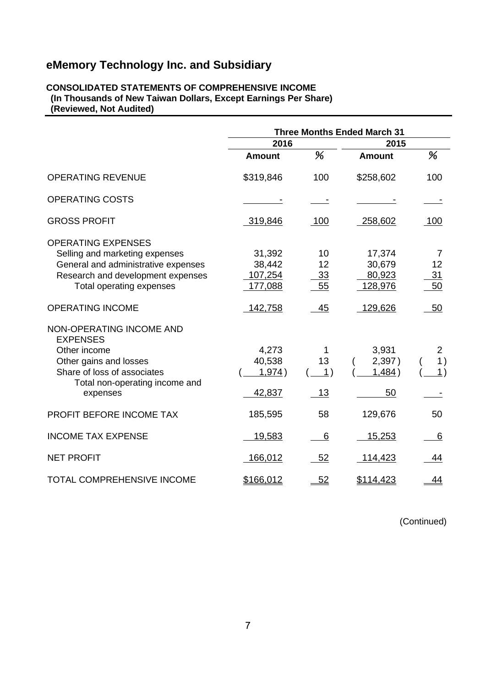#### **CONSOLIDATED STATEMENTS OF COMPREHENSIVE INCOME (In Thousands of New Taiwan Dollars, Except Earnings Per Share) (Reviewed, Not Audited)**

|                                                                                                                                                                     | <b>Three Months Ended March 31</b>     |                               |                                       |                            |
|---------------------------------------------------------------------------------------------------------------------------------------------------------------------|----------------------------------------|-------------------------------|---------------------------------------|----------------------------|
|                                                                                                                                                                     | 2016                                   |                               | 2015                                  |                            |
|                                                                                                                                                                     | <b>Amount</b>                          | %                             | <b>Amount</b>                         | %                          |
| <b>OPERATING REVENUE</b>                                                                                                                                            | \$319,846                              | 100                           | \$258,602                             | 100                        |
| <b>OPERATING COSTS</b>                                                                                                                                              |                                        |                               |                                       |                            |
| <b>GROSS PROFIT</b>                                                                                                                                                 | 319,846                                | 100                           | 258,602                               | 100                        |
| <b>OPERATING EXPENSES</b><br>Selling and marketing expenses<br>General and administrative expenses<br>Research and development expenses<br>Total operating expenses | 31,392<br>38,442<br>107,254<br>177,088 | 10<br>12<br>33<br>55          | 17,374<br>30,679<br>80,923<br>128,976 | 7<br>12<br><u>31</u><br>50 |
| <b>OPERATING INCOME</b>                                                                                                                                             | 142,758                                | 45                            | 129,626                               | 50                         |
| NON-OPERATING INCOME AND<br><b>EXPENSES</b><br>Other income<br>Other gains and losses<br>Share of loss of associates<br>Total non-operating income and<br>expenses  | 4,273<br>40,538<br>1,974)<br>42,837    | 13<br>$\vert$ 1)<br><u>13</u> | 3,931<br>2,397)<br>1,484)<br>50       | $\overline{2}$<br>1)<br>1) |
| PROFIT BEFORE INCOME TAX                                                                                                                                            | 185,595                                | 58                            | 129,676                               | 50                         |
| <b>INCOME TAX EXPENSE</b>                                                                                                                                           | 19,583                                 | 6                             | 15,253                                | 6                          |
| <b>NET PROFIT</b>                                                                                                                                                   | 166,012                                | 52                            | 114,423                               | 44                         |
| <b>TOTAL COMPREHENSIVE INCOME</b>                                                                                                                                   | \$166,012                              | 52                            | \$114,423                             | 44                         |

(Continued)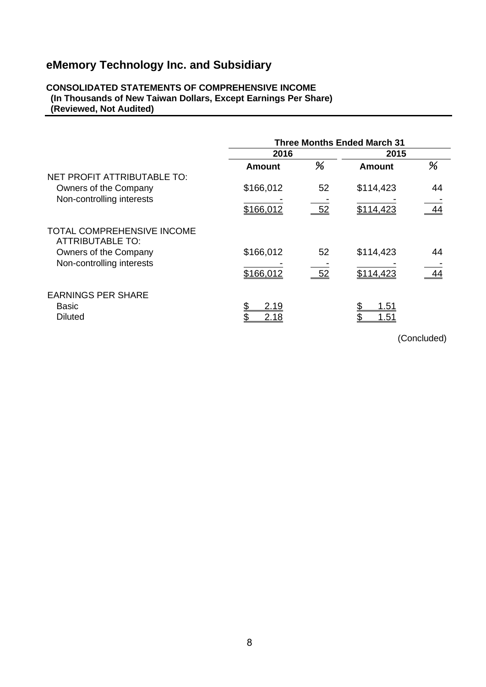### **CONSOLIDATED STATEMENTS OF COMPREHENSIVE INCOME (In Thousands of New Taiwan Dollars, Except Earnings Per Share) (Reviewed, Not Audited)**

|                                                | <b>Three Months Ended March 31</b> |       |                     |    |  |
|------------------------------------------------|------------------------------------|-------|---------------------|----|--|
|                                                | 2016                               |       | 2015                |    |  |
| NET PROFIT ATTRIBUTABLE TO:                    | <b>Amount</b>                      | %     | <b>Amount</b>       | %  |  |
| Owners of the Company                          | \$166,012                          | 52    | \$114,423           | 44 |  |
| Non-controlling interests                      | \$166,012                          | $-52$ | \$114,423           | 44 |  |
| TOTAL COMPREHENSIVE INCOME<br>ATTRIBUTABLE TO: |                                    |       |                     |    |  |
| Owners of the Company                          | \$166,012                          | 52    | \$114,423           | 44 |  |
| Non-controlling interests                      | \$166,012                          | $-52$ | \$114,423           | 44 |  |
| <b>EARNINGS PER SHARE</b>                      |                                    |       |                     |    |  |
| <b>Basic</b><br><b>Diluted</b>                 | 2.19<br>2.18                       |       | <u>1.51</u><br>1.51 |    |  |

(Concluded)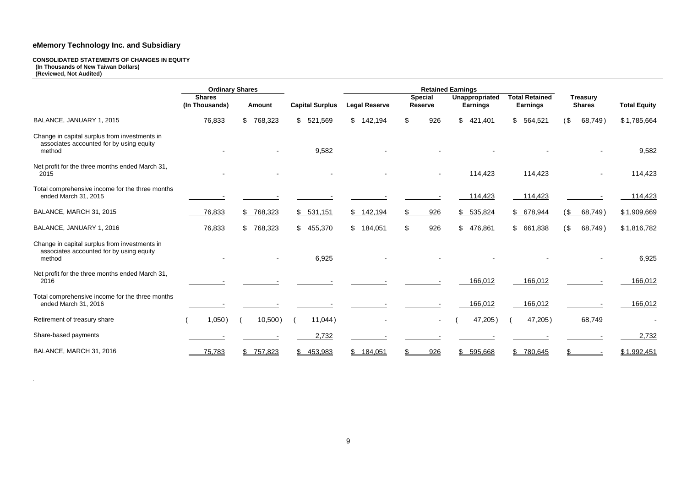#### **CONSOLIDATED STATEMENTS OF CHANGES IN EQUITY (In Thousands of New Taiwan Dollars) (Reviewed, Not Audited)**

|                                                                                                     | <b>Ordinary Shares</b>          |                           |                        |                      | <b>Retained Earnings</b>         |                                   |                                          |                                  |                     |
|-----------------------------------------------------------------------------------------------------|---------------------------------|---------------------------|------------------------|----------------------|----------------------------------|-----------------------------------|------------------------------------------|----------------------------------|---------------------|
|                                                                                                     | <b>Shares</b><br>(In Thousands) | <b>Amount</b>             | <b>Capital Surplus</b> | <b>Legal Reserve</b> | <b>Special</b><br><b>Reserve</b> | Unappropriated<br><b>Earnings</b> | <b>Total Retained</b><br><b>Earnings</b> | <b>Treasury</b><br><b>Shares</b> | <b>Total Equity</b> |
| BALANCE, JANUARY 1, 2015                                                                            | 76,833                          | $\mathfrak{S}$<br>768,323 | 521,569<br>\$.         | \$142,194            | 926<br>\$                        | $\mathbb{S}^-$<br>421,401         | \$564,521                                | (<br>68,749)                     | \$1,785,664         |
| Change in capital surplus from investments in<br>associates accounted for by using equity<br>method |                                 |                           | 9,582                  |                      |                                  |                                   |                                          |                                  | 9,582               |
| Net profit for the three months ended March 31,<br>2015                                             |                                 |                           |                        |                      |                                  | 114,423                           | 114,423                                  |                                  | 114,423             |
| Total comprehensive income for the three months<br>ended March 31, 2015                             |                                 |                           |                        |                      |                                  | 114,423                           | 114,423                                  |                                  | 114,423             |
| BALANCE, MARCH 31, 2015                                                                             | 76,833                          | 768,323<br>\$             | \$531,151              | \$142,194            | 926<br>\$                        | 535,824<br>$\frac{1}{2}$          | 678,944<br>$\mathfrak{F}$                | (<br>68,749)                     | \$1,909,669         |
| BALANCE, JANUARY 1, 2016                                                                            | 76,833                          | $\mathfrak{S}$<br>768,323 | \$455,370              | \$184,051            | $\mathfrak{L}$<br>926            | $\frac{1}{2}$<br>476,861          | \$661,838                                | $($ \$<br>68,749)                | \$1,816,782         |
| Change in capital surplus from investments in<br>associates accounted for by using equity<br>method |                                 |                           | 6,925                  |                      |                                  |                                   |                                          |                                  | 6,925               |
| Net profit for the three months ended March 31,<br>2016                                             |                                 |                           |                        |                      |                                  | 166,012                           | 166,012                                  |                                  | 166,012             |
| Total comprehensive income for the three months<br>ended March 31, 2016                             |                                 |                           |                        |                      |                                  | 166,012                           | 166,012                                  |                                  | 166,012             |
| Retirement of treasury share                                                                        | 1,050)                          | 10,500)                   | 11,044)                |                      |                                  | 47,205)                           | 47,205)                                  | 68,749                           |                     |
| Share-based payments                                                                                |                                 |                           | 2,732                  |                      |                                  |                                   |                                          |                                  | 2,732               |
| BALANCE, MARCH 31, 2016                                                                             | 75,783                          | 757,823<br>\$             | \$453,983              | \$184,051            | 926<br>\$.                       | $\frac{1}{2}$<br>595,668          | $\mathbb{S}$<br>780,645                  | \$.                              | \$1,992,451         |

.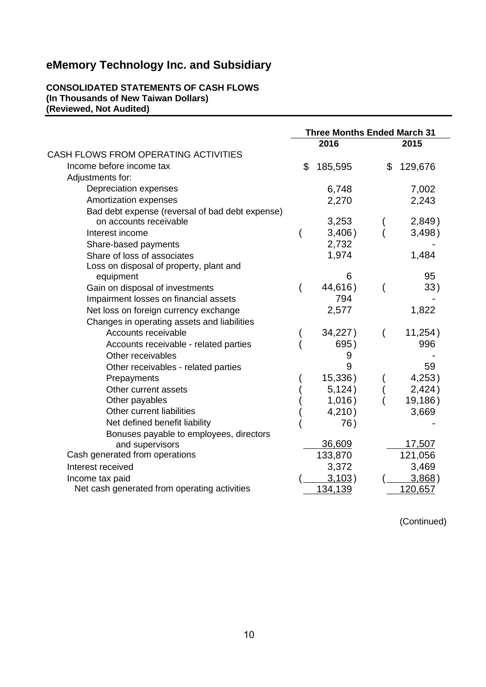### **CONSOLIDATED STATEMENTS OF CASH FLOWS (In Thousands of New Taiwan Dollars) (Reviewed, Not Audited)**

|                                                 | <b>Three Months Ended March 31</b> |         |    |                |
|-------------------------------------------------|------------------------------------|---------|----|----------------|
|                                                 |                                    | 2016    |    | 2015           |
| CASH FLOWS FROM OPERATING ACTIVITIES            |                                    |         |    |                |
| Income before income tax                        | \$                                 | 185,595 | \$ | 129,676        |
| Adjustments for:                                |                                    |         |    |                |
| Depreciation expenses                           |                                    | 6,748   |    | 7,002          |
| Amortization expenses                           |                                    | 2,270   |    | 2,243          |
| Bad debt expense (reversal of bad debt expense) |                                    |         |    |                |
| on accounts receivable                          |                                    | 3,253   |    | 2,849)         |
| Interest income                                 |                                    | 3,406)  |    | 3,498)         |
| Share-based payments                            |                                    | 2,732   |    |                |
| Share of loss of associates                     |                                    | 1,974   |    | 1,484          |
| Loss on disposal of property, plant and         |                                    |         |    |                |
| equipment                                       |                                    | 6       |    | 95             |
| Gain on disposal of investments                 |                                    | 44,616) |    | 33)            |
| Impairment losses on financial assets           |                                    | 794     |    |                |
| Net loss on foreign currency exchange           |                                    | 2,577   |    | 1,822          |
| Changes in operating assets and liabilities     |                                    |         |    |                |
| Accounts receivable                             |                                    | 34,227) |    | 11,254)        |
| Accounts receivable - related parties           |                                    | 695)    |    | 996            |
| Other receivables                               |                                    | 9       |    |                |
| Other receivables - related parties             |                                    | 9       |    | 59             |
| Prepayments                                     |                                    | 15,336) |    | 4,253)         |
| Other current assets                            |                                    | 5,124)  |    | 2,424)         |
| Other payables                                  |                                    | 1,016)  |    | 19,186)        |
| Other current liabilities                       |                                    | 4,210)  |    | 3,669          |
| Net defined benefit liability                   |                                    | 76)     |    |                |
| Bonuses payable to employees, directors         |                                    |         |    |                |
| and supervisors                                 |                                    | 36,609  |    | 17,507         |
| Cash generated from operations                  |                                    | 133,870 |    | 121,056        |
| Interest received                               |                                    | 3,372   |    | 3,469          |
| Income tax paid                                 |                                    | 3,103)  |    | 3,868)         |
| Net cash generated from operating activities    |                                    | 134,139 |    | <u>120,657</u> |

(Continued)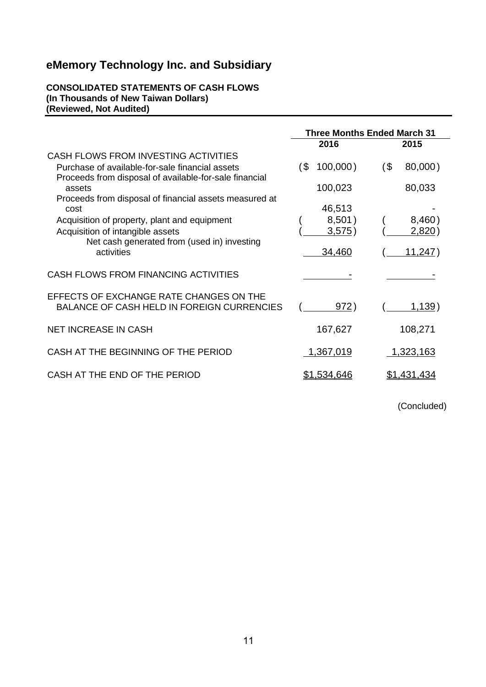### **CONSOLIDATED STATEMENTS OF CASH FLOWS (In Thousands of New Taiwan Dollars) (Reviewed, Not Audited)**

|                                                                                                           | <b>Three Months Ended March 31</b> |                   |  |  |
|-----------------------------------------------------------------------------------------------------------|------------------------------------|-------------------|--|--|
|                                                                                                           | 2016                               | 2015              |  |  |
| CASH FLOWS FROM INVESTING ACTIVITIES                                                                      |                                    |                   |  |  |
| Purchase of available-for-sale financial assets<br>Proceeds from disposal of available-for-sale financial | $100,000$ )<br>′\$                 | 80,000)<br>$($ \$ |  |  |
| assets<br>Proceeds from disposal of financial assets measured at                                          | 100,023                            | 80,033            |  |  |
| cost                                                                                                      | 46,513                             |                   |  |  |
| Acquisition of property, plant and equipment                                                              | 8,501)                             | 8,460)            |  |  |
| Acquisition of intangible assets                                                                          | 3,575)                             | <u>2,820</u> )    |  |  |
| Net cash generated from (used in) investing<br>activities                                                 | 34,460                             | <u>11,247</u> )   |  |  |
| CASH FLOWS FROM FINANCING ACTIVITIES                                                                      |                                    |                   |  |  |
| EFFECTS OF EXCHANGE RATE CHANGES ON THE<br><b>BALANCE OF CASH HELD IN FOREIGN CURRENCIES</b>              | 972)                               | <u>1,139</u> )    |  |  |
| <b>NET INCREASE IN CASH</b>                                                                               | 167,627                            | 108,271           |  |  |
| CASH AT THE BEGINNING OF THE PERIOD                                                                       | 1,367,019                          | 1,323,163         |  |  |
| CASH AT THE END OF THE PERIOD                                                                             | \$1,534,646                        | \$1,431,434       |  |  |

(Concluded)